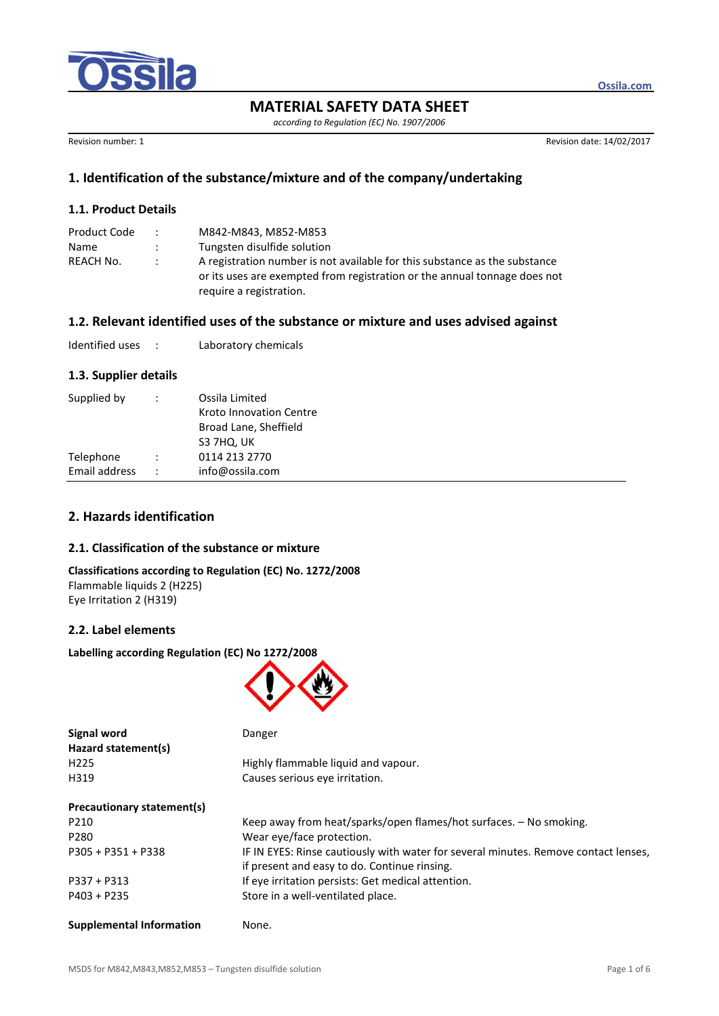

**MATERIAL SAFETY DATA SHEET**

*according to Regulation (EC) No. 1907/2006*

Revision number: 1 Revision date: 14/02/2017

**Ossila.com**

# **1. Identification of the substance/mixture and of the company/undertaking**

### **1.1. Product Details**

| Product Code | $\ddot{\phantom{0}}$ | M842-M843. M852-M853                                                                                                                                                               |
|--------------|----------------------|------------------------------------------------------------------------------------------------------------------------------------------------------------------------------------|
| Name         |                      | Tungsten disulfide solution                                                                                                                                                        |
| REACH No.    | $\mathcal{L}$        | A registration number is not available for this substance as the substance<br>or its uses are exempted from registration or the annual tonnage does not<br>require a registration. |

### **1.2. Relevant identified uses of the substance or mixture and uses advised against**

| Identified uses |  | Laboratory chemicals |
|-----------------|--|----------------------|
|-----------------|--|----------------------|

#### **1.3. Supplier details**

| Supplied by   |                      | Ossila Limited<br>Kroto Innovation Centre<br>Broad Lane, Sheffield<br>S3 7HQ, UK |
|---------------|----------------------|----------------------------------------------------------------------------------|
| Telephone     | $\ddot{\phantom{0}}$ | 0114 213 2770                                                                    |
| Email address | $\ddot{\phantom{0}}$ | info@ossila.com                                                                  |
|               |                      |                                                                                  |

# **2. Hazards identification**

## **2.1. Classification of the substance or mixture**

**Classifications according to Regulation (EC) No. 1272/2008** Flammable liquids 2 (H225) Eye Irritation 2 (H319)

### **2.2. Label elements**

**Labelling according Regulation (EC) No 1272/2008**



| <b>Signal word</b>         | Danger                                                                              |
|----------------------------|-------------------------------------------------------------------------------------|
| Hazard statement(s)        |                                                                                     |
| H <sub>225</sub>           | Highly flammable liquid and vapour.                                                 |
| H319                       | Causes serious eye irritation.                                                      |
| Precautionary statement(s) |                                                                                     |
| P210                       | Keep away from heat/sparks/open flames/hot surfaces. - No smoking.                  |
| P280                       | Wear eye/face protection.                                                           |
| $P305 + P351 + P338$       | IF IN EYES: Rinse cautiously with water for several minutes. Remove contact lenses, |
|                            | if present and easy to do. Continue rinsing.                                        |
| $P337 + P313$              | If eye irritation persists: Get medical attention.                                  |
| $P403 + P235$              | Store in a well-ventilated place.                                                   |
|                            |                                                                                     |

**Supplemental Information** None.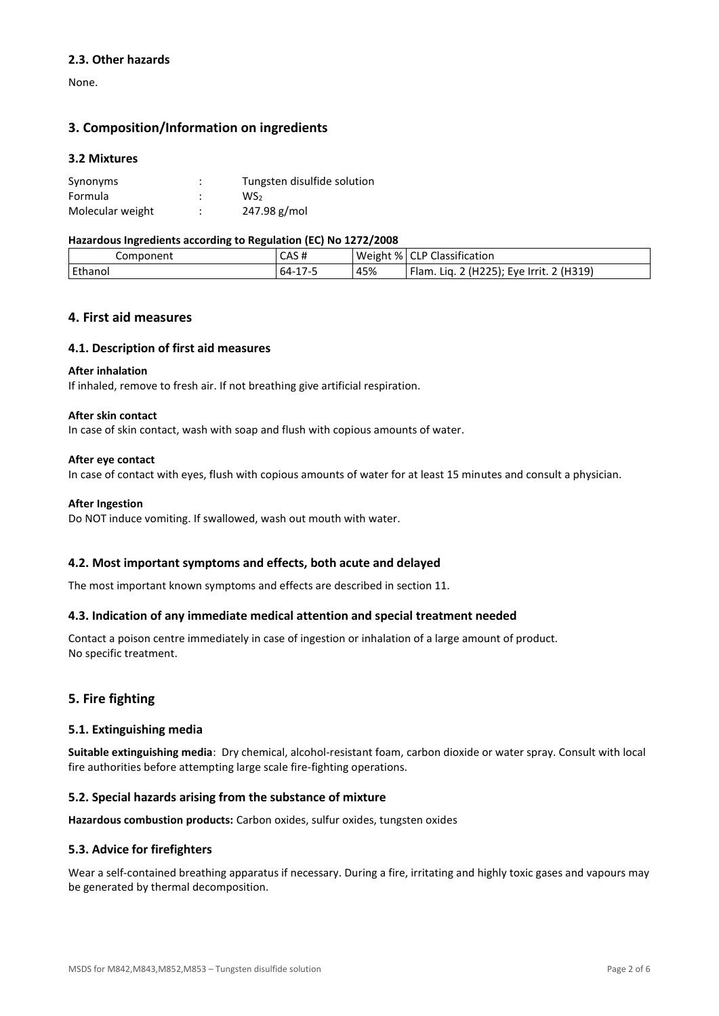### **2.3. Other hazards**

None.

# **3. Composition/Information on ingredients**

### **3.2 Mixtures**

| Synonyms         | ٠<br>٠ | Tungsten disulfide solution |
|------------------|--------|-----------------------------|
| Formula          | ٠      | WS <sub>2</sub>             |
| Molecular weight | ٠<br>٠ | 247.98 g/mol                |

#### **Hazardous Ingredients according to Regulation (EC) No 1272/2008**

| -<br>. .<br>-- |                         |     |                                                |
|----------------|-------------------------|-----|------------------------------------------------|
| Component      | CAS#                    |     | Weight %   CLP Classification                  |
| Ethanol        | $\sim$<br>64-<br>. 1/-5 | 45% | 2 (H225); Eve Irrit. 2 (H319)<br>Flam.<br>Lia. |

### **4. First aid measures**

#### **4.1. Description of first aid measures**

#### **After inhalation**

If inhaled, remove to fresh air. If not breathing give artificial respiration.

#### **After skin contact**

In case of skin contact, wash with soap and flush with copious amounts of water.

#### **After eye contact**

In case of contact with eyes, flush with copious amounts of water for at least 15 minutes and consult a physician.

#### **After Ingestion**

Do NOT induce vomiting. If swallowed, wash out mouth with water.

#### **4.2. Most important symptoms and effects, both acute and delayed**

The most important known symptoms and effects are described in section 11.

#### **4.3. Indication of any immediate medical attention and special treatment needed**

Contact a poison centre immediately in case of ingestion or inhalation of a large amount of product. No specific treatment.

## **5. Fire fighting**

#### **5.1. Extinguishing media**

**Suitable extinguishing media**: Dry chemical, alcohol-resistant foam, carbon dioxide or water spray. Consult with local fire authorities before attempting large scale fire-fighting operations.

#### **5.2. Special hazards arising from the substance of mixture**

**Hazardous combustion products:** Carbon oxides, sulfur oxides, tungsten oxides

### **5.3. Advice for firefighters**

Wear a self-contained breathing apparatus if necessary. During a fire, irritating and highly toxic gases and vapours may be generated by thermal decomposition.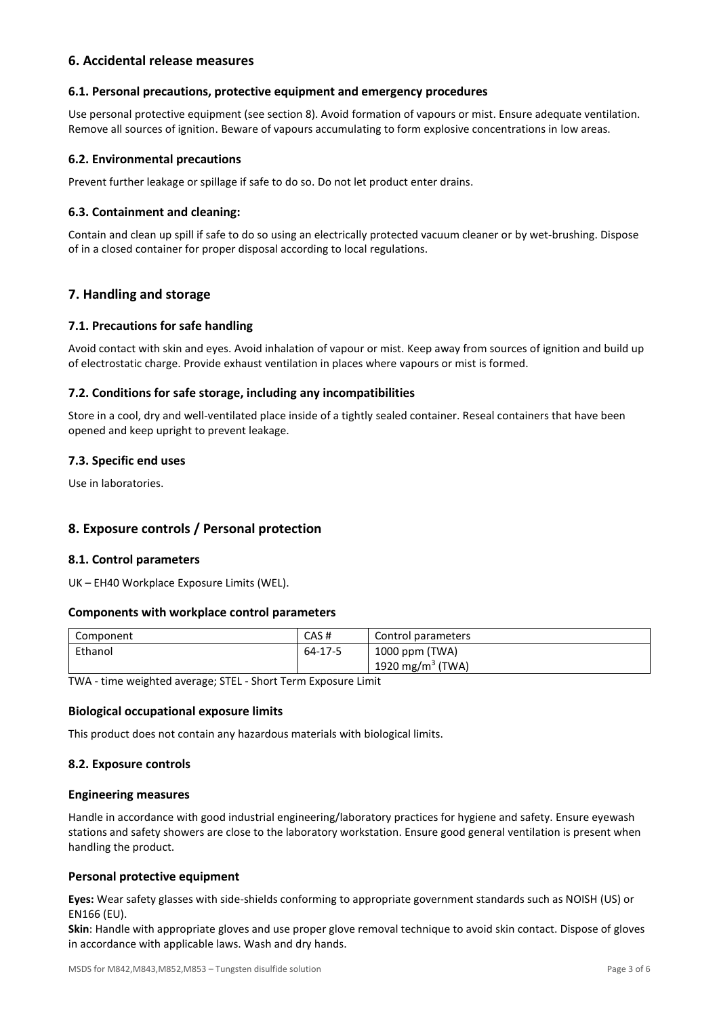## **6. Accidental release measures**

### **6.1. Personal precautions, protective equipment and emergency procedures**

Use personal protective equipment (see section 8). Avoid formation of vapours or mist. Ensure adequate ventilation. Remove all sources of ignition. Beware of vapours accumulating to form explosive concentrations in low areas.

### **6.2. Environmental precautions**

Prevent further leakage or spillage if safe to do so. Do not let product enter drains.

### **6.3. Containment and cleaning:**

Contain and clean up spill if safe to do so using an electrically protected vacuum cleaner or by wet-brushing. Dispose of in a closed container for proper disposal according to local regulations.

## **7. Handling and storage**

#### **7.1. Precautions for safe handling**

Avoid contact with skin and eyes. Avoid inhalation of vapour or mist. Keep away from sources of ignition and build up of electrostatic charge. Provide exhaust ventilation in places where vapours or mist is formed.

#### **7.2. Conditions for safe storage, including any incompatibilities**

Store in a cool, dry and well-ventilated place inside of a tightly sealed container. Reseal containers that have been opened and keep upright to prevent leakage.

### **7.3. Specific end uses**

Use in laboratories.

## **8. Exposure controls / Personal protection**

#### **8.1. Control parameters**

UK – EH40 Workplace Exposure Limits (WEL).

#### **Components with workplace control parameters**

| Component | CAS#    | Control parameters           |
|-----------|---------|------------------------------|
| Ethanol   | 64-17-5 | 1000 ppm (TWA)               |
|           |         | 1920 mg/m <sup>3</sup> (TWA) |

TWA - time weighted average; STEL - Short Term Exposure Limit

#### **Biological occupational exposure limits**

This product does not contain any hazardous materials with biological limits.

#### **8.2. Exposure controls**

#### **Engineering measures**

Handle in accordance with good industrial engineering/laboratory practices for hygiene and safety. Ensure eyewash stations and safety showers are close to the laboratory workstation. Ensure good general ventilation is present when handling the product.

#### **Personal protective equipment**

**Eyes:** Wear safety glasses with side-shields conforming to appropriate government standards such as NOISH (US) or EN166 (EU).

**Skin**: Handle with appropriate gloves and use proper glove removal technique to avoid skin contact. Dispose of gloves in accordance with applicable laws. Wash and dry hands.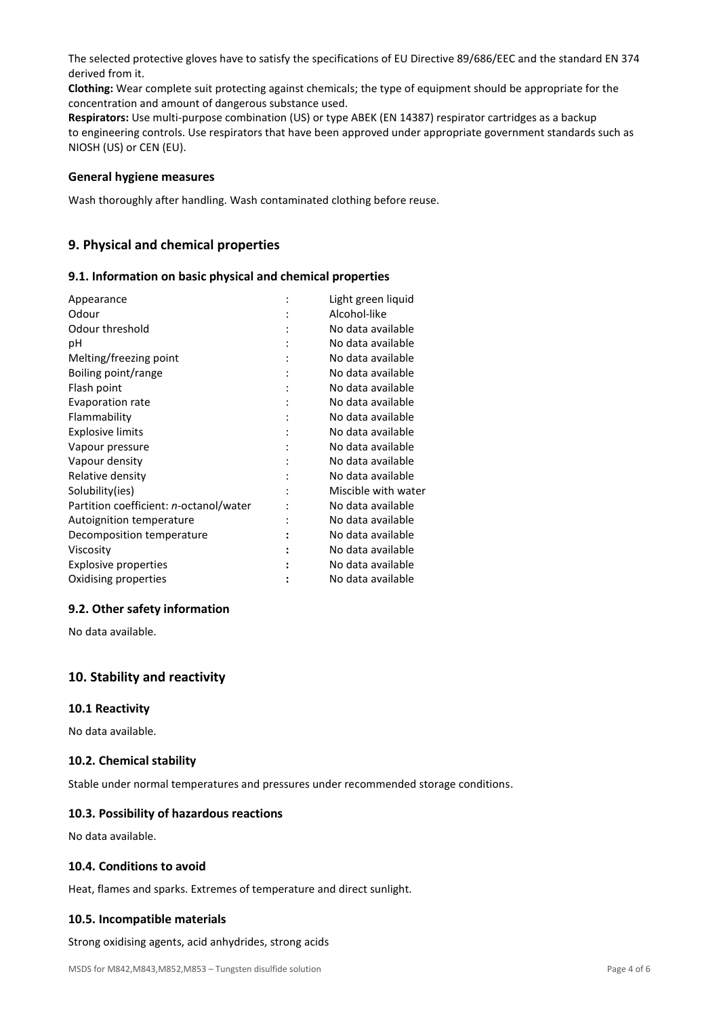The selected protective gloves have to satisfy the specifications of EU Directive 89/686/EEC and the standard EN 374 derived from it.

**Clothing:** Wear complete suit protecting against chemicals; the type of equipment should be appropriate for the concentration and amount of dangerous substance used.

**Respirators:** Use multi-purpose combination (US) or type ABEK (EN 14387) respirator cartridges as a backup to engineering controls. Use respirators that have been approved under appropriate government standards such as NIOSH (US) or CEN (EU).

#### **General hygiene measures**

Wash thoroughly after handling. Wash contaminated clothing before reuse.

# **9. Physical and chemical properties**

### **9.1. Information on basic physical and chemical properties**

| Appearance                             | Light green liquid  |
|----------------------------------------|---------------------|
| Odour                                  | Alcohol-like        |
| Odour threshold                        | No data available   |
| рH                                     | No data available   |
| Melting/freezing point                 | No data available   |
| Boiling point/range                    | No data available   |
| Flash point                            | No data available   |
| Evaporation rate                       | No data available   |
| Flammability                           | No data available   |
| <b>Explosive limits</b>                | No data available   |
| Vapour pressure                        | No data available   |
| Vapour density                         | No data available   |
| Relative density                       | No data available   |
| Solubility(ies)                        | Miscible with water |
| Partition coefficient: n-octanol/water | No data available   |
| Autoignition temperature               | No data available   |
| Decomposition temperature              | No data available   |
| Viscosity                              | No data available   |
| Explosive properties                   | No data available   |
| Oxidising properties                   | No data available   |
|                                        |                     |

## **9.2. Other safety information**

No data available.

## **10. Stability and reactivity**

#### **10.1 Reactivity**

No data available.

#### **10.2. Chemical stability**

Stable under normal temperatures and pressures under recommended storage conditions.

# **10.3. Possibility of hazardous reactions**

No data available.

#### **10.4. Conditions to avoid**

Heat, flames and sparks. Extremes of temperature and direct sunlight.

#### **10.5. Incompatible materials**

Strong oxidising agents, acid anhydrides, strong acids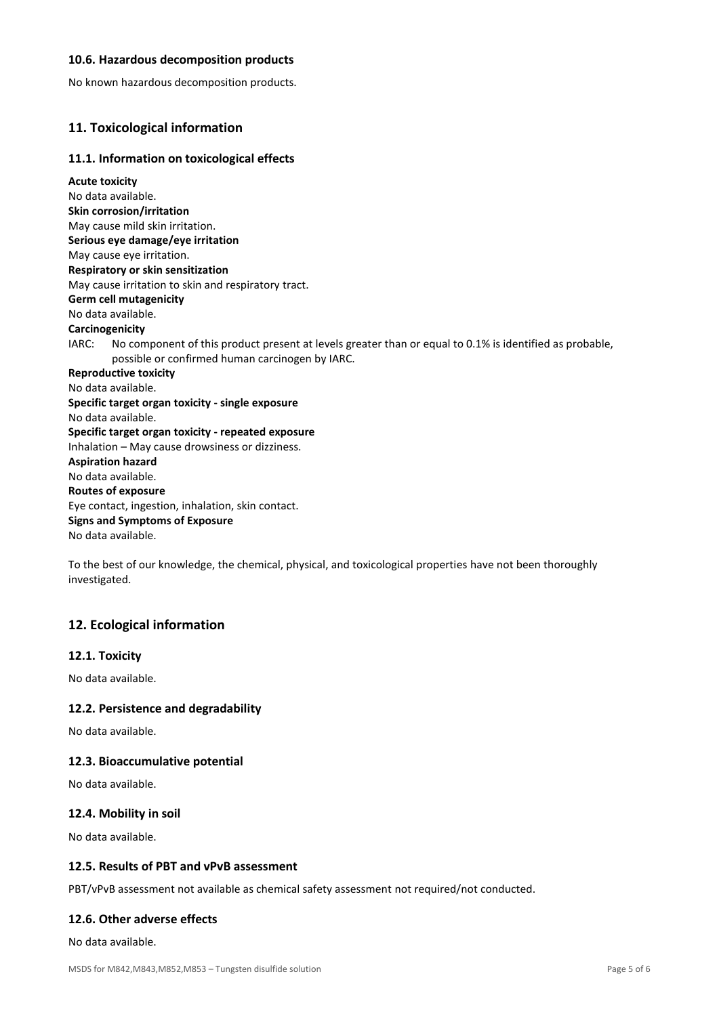### **10.6. Hazardous decomposition products**

No known hazardous decomposition products.

# **11. Toxicological information**

### **11.1. Information on toxicological effects**

**Acute toxicity** No data available. **Skin corrosion/irritation** May cause mild skin irritation. **Serious eye damage/eye irritation** May cause eye irritation. **Respiratory or skin sensitization** May cause irritation to skin and respiratory tract. **Germ cell mutagenicity** No data available. **Carcinogenicity** IARC: No component of this product present at levels greater than or equal to 0.1% is identified as probable, possible or confirmed human carcinogen by IARC. **Reproductive toxicity** No data available. **Specific target organ toxicity - single exposure** No data available. **Specific target organ toxicity - repeated exposure** Inhalation – May cause drowsiness or dizziness. **Aspiration hazard** No data available. **Routes of exposure** Eye contact, ingestion, inhalation, skin contact. **Signs and Symptoms of Exposure** No data available.

To the best of our knowledge, the chemical, physical, and toxicological properties have not been thoroughly investigated.

## **12. Ecological information**

#### **12.1. Toxicity**

No data available.

#### **12.2. Persistence and degradability**

No data available.

#### **12.3. Bioaccumulative potential**

No data available.

#### **12.4. Mobility in soil**

No data available.

#### **12.5. Results of PBT and vPvB assessment**

PBT/vPvB assessment not available as chemical safety assessment not required/not conducted.

### **12.6. Other adverse effects**

No data available.